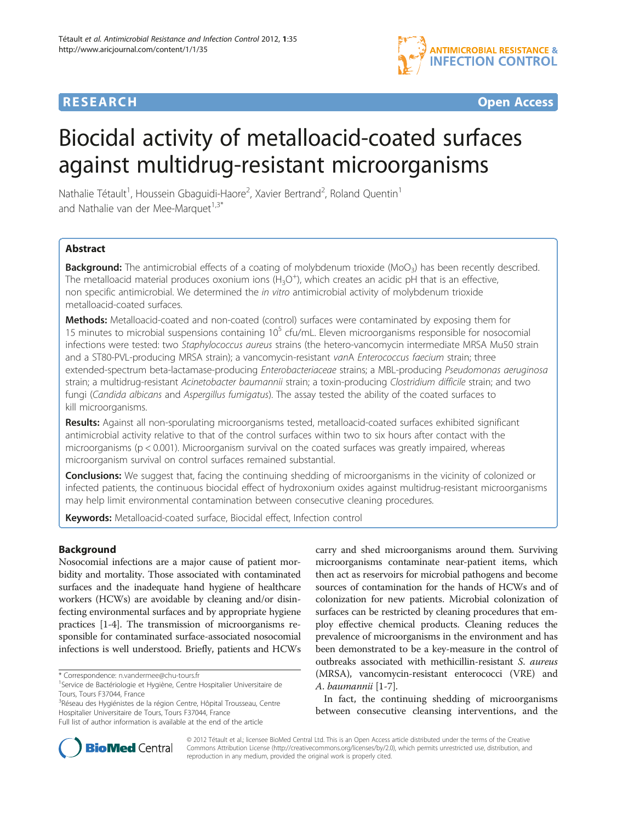

**RESEARCH RESEARCH** *CHECK CHECK CHECK CHECK CHECK CHECK CHECK CHECK CHECK CHECK CHECK CHECK CHECK CHECK CHECK CHECK CHECK CHECK CHECK CHECK CHECK CHECK CHECK CHECK CHECK CHECK CHECK CHECK CHECK CHECK CHECK CHECK CHECK* 

# Biocidal activity of metalloacid-coated surfaces against multidrug-resistant microorganisms

Nathalie Tétault<sup>1</sup>, Houssein Gbaguidi-Haore<sup>2</sup>, Xavier Bertrand<sup>2</sup>, Roland Quentin<sup>1</sup> and Nathalie van der Mee-Marquet $1.3*$ 

## **Abstract**

Background: The antimicrobial effects of a coating of molybdenum trioxide (MoO<sub>3</sub>) has been recently described. The metalloacid material produces oxonium ions  $(H_3O<sup>+</sup>)$ , which creates an acidic pH that is an effective, non specific antimicrobial. We determined the in vitro antimicrobial activity of molybdenum trioxide metalloacid-coated surfaces.

Methods: Metalloacid-coated and non-coated (control) surfaces were contaminated by exposing them for 15 minutes to microbial suspensions containing  $10^5$  cfu/mL. Eleven microorganisms responsible for nosocomial infections were tested: two Staphylococcus aureus strains (the hetero-vancomycin intermediate MRSA Mu50 strain and a ST80-PVL-producing MRSA strain); a vancomycin-resistant vanA Enterococcus faecium strain; three extended-spectrum beta-lactamase-producing Enterobacteriaceae strains; a MBL-producing Pseudomonas aeruginosa strain; a multidrug-resistant Acinetobacter baumannii strain; a toxin-producing Clostridium difficile strain; and two fungi (Candida albicans and Aspergillus fumigatus). The assay tested the ability of the coated surfaces to kill microorganisms.

Results: Against all non-sporulating microorganisms tested, metalloacid-coated surfaces exhibited significant antimicrobial activity relative to that of the control surfaces within two to six hours after contact with the microorganisms (p < 0.001). Microorganism survival on the coated surfaces was greatly impaired, whereas microorganism survival on control surfaces remained substantial.

**Conclusions:** We suggest that, facing the continuing shedding of microorganisms in the vicinity of colonized or infected patients, the continuous biocidal effect of hydroxonium oxides against multidrug-resistant microorganisms may help limit environmental contamination between consecutive cleaning procedures.

Keywords: Metalloacid-coated surface, Biocidal effect, Infection control

## Background

Nosocomial infections are a major cause of patient morbidity and mortality. Those associated with contaminated surfaces and the inadequate hand hygiene of healthcare workers (HCWs) are avoidable by cleaning and/or disinfecting environmental surfaces and by appropriate hygiene practices [\[1](#page-4-0)-[4\]](#page-4-0). The transmission of microorganisms responsible for contaminated surface-associated nosocomial infections is well understood. Briefly, patients and HCWs

<sup>3</sup>Réseau des Hygiénistes de la région Centre, Hôpital Trousseau, Centre Hospitalier Universitaire de Tours, Tours F37044, France

carry and shed microorganisms around them. Surviving microorganisms contaminate near-patient items, which then act as reservoirs for microbial pathogens and become sources of contamination for the hands of HCWs and of colonization for new patients. Microbial colonization of surfaces can be restricted by cleaning procedures that employ effective chemical products. Cleaning reduces the prevalence of microorganisms in the environment and has been demonstrated to be a key-measure in the control of outbreaks associated with methicillin-resistant S. aureus (MRSA), vancomycin-resistant enterococci (VRE) and A. baumannii [[1-](#page-4-0)[7](#page-5-0)].

In fact, the continuing shedding of microorganisms between consecutive cleansing interventions, and the



© 2012 Tétault et al.; licensee BioMed Central Ltd. This is an Open Access article distributed under the terms of the Creative Commons Attribution License [\(http://creativecommons.org/licenses/by/2.0\)](http://creativecommons.org/licenses/by/2.0), which permits unrestricted use, distribution, and reproduction in any medium, provided the original work is properly cited.

<sup>\*</sup> Correspondence: [n.vandermee@chu-tours.fr](mailto:n.vandermee@chu-tours.fr) <sup>1</sup>

<sup>&</sup>lt;sup>1</sup>Service de Bactériologie et Hygiène, Centre Hospitalier Universitaire de Tours, Tours F37044, France

Full list of author information is available at the end of the article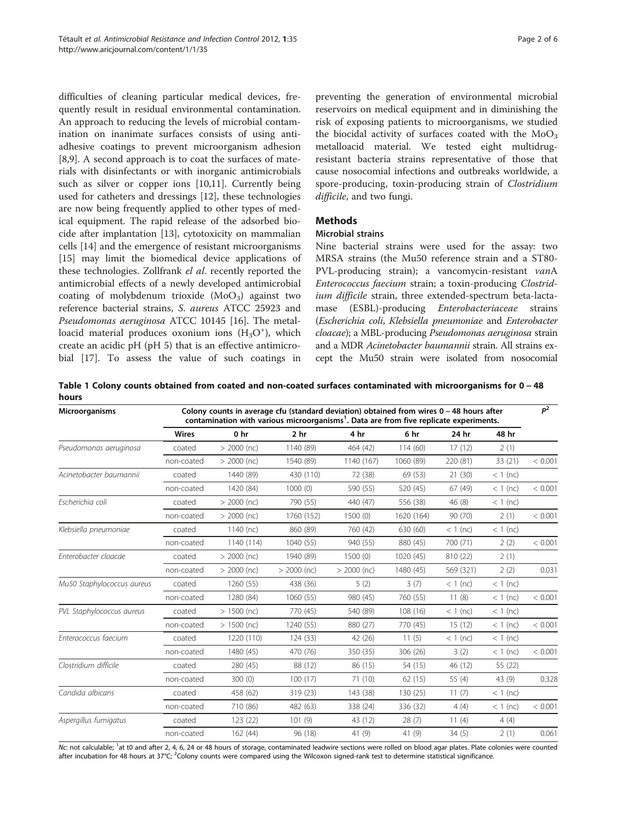<span id="page-1-0"></span>difficulties of cleaning particular medical devices, frequently result in residual environmental contamination. An approach to reducing the levels of microbial contamination on inanimate surfaces consists of using antiadhesive coatings to prevent microorganism adhesion [[8,9\]](#page-5-0). A second approach is to coat the surfaces of materials with disinfectants or with inorganic antimicrobials such as silver or copper ions [\[10,11\]](#page-5-0). Currently being used for catheters and dressings [\[12](#page-5-0)], these technologies are now being frequently applied to other types of medical equipment. The rapid release of the adsorbed biocide after implantation [\[13](#page-5-0)], cytotoxicity on mammalian cells [\[14](#page-5-0)] and the emergence of resistant microorganisms [[15\]](#page-5-0) may limit the biomedical device applications of these technologies. Zollfrank el al. recently reported the antimicrobial effects of a newly developed antimicrobial coating of molybdenum trioxide  $(MoO<sub>3</sub>)$  against two reference bacterial strains, S. aureus ATCC 25923 and Pseudomonas aeruginosa ATCC 10145 [\[16\]](#page-5-0). The metalloacid material produces oxonium ions  $(H_3O<sup>+</sup>)$ , which create an acidic pH (pH 5) that is an effective antimicrobial [\[17](#page-5-0)]. To assess the value of such coatings in

preventing the generation of environmental microbial reservoirs on medical equipment and in diminishing the risk of exposing patients to microorganisms, we studied the biocidal activity of surfaces coated with the  $MoO<sub>3</sub>$ metalloacid material. We tested eight multidrugresistant bacteria strains representative of those that cause nosocomial infections and outbreaks worldwide, a spore-producing, toxin-producing strain of Clostridium difficile, and two fungi.

## **Methods**

## Microbial strains

Nine bacterial strains were used for the assay: two MRSA strains (the Mu50 reference strain and a ST80- PVL-producing strain); a vancomycin-resistant vanA Enterococcus faecium strain; a toxin-producing Clostridium difficile strain, three extended-spectrum beta-lactamase (ESBL)-producing Enterobacteriaceae strains (Escherichia coli, Klebsiella pneumoniae and Enterobacter cloacae); a MBL-producing Pseudomonas aeruginosa strain and a MDR Acinetobacter baumannii strain. All strains except the Mu50 strain were isolated from nosocomial

Table 1 Colony counts obtained from coated and non-coated surfaces contaminated with microorganisms for 0 − 48 hours

| <b>Microorganisms</b>      | Colony counts in average cfu (standard deviation) obtained from wires $0 - 48$ hours after<br>contamination with various microorganisms <sup>1</sup> . Data are from five replicate experiments. |                 |                 |               |            |            |            | $P^2$   |
|----------------------------|--------------------------------------------------------------------------------------------------------------------------------------------------------------------------------------------------|-----------------|-----------------|---------------|------------|------------|------------|---------|
|                            | <b>Wires</b>                                                                                                                                                                                     | 0 <sub>hr</sub> | 2 <sub>hr</sub> | 4 hr          | 6 hr       | 24 hr      | 48 hr      |         |
| Pseudomonas aeruginosa     | coated                                                                                                                                                                                           | $> 2000$ (nc)   | 1140 (89)       | 464 (42)      | 114(60)    | 17(12)     | 2(1)       |         |
|                            | non-coated                                                                                                                                                                                       | $> 2000$ (nc)   | 1540 (89)       | 1140 (167)    | 1060 (89)  | 220 (81)   | 33 (21)    | < 0.001 |
| Acinetobacter baumannii    | coated                                                                                                                                                                                           | 1440 (89)       | 430 (110)       | 72 (38)       | 69 (53)    | 21(30)     | $<$ 1 (nc) |         |
|                            | non-coated                                                                                                                                                                                       | 1420 (84)       | 1000(0)         | 590 (55)      | 520 (45)   | 67(49)     | $<$ 1 (nc) | < 0.001 |
| Escherichia coli           | coated                                                                                                                                                                                           | $> 2000$ (nc)   | 790 (55)        | 440 (47)      | 556 (38)   | 46(8)      | $<$ 1 (nc) |         |
|                            | non-coated                                                                                                                                                                                       | $> 2000$ (nc)   | 1760 (152)      | 1500(0)       | 1620 (164) | 90 (70)    | 2(1)       | < 0.001 |
| Klebsiella pneumoniae      | coated                                                                                                                                                                                           | 1140 (nc)       | 860 (89)        | 760 (42)      | 630 (60)   | $<$ 1 (nc) | $<$ 1 (nc) |         |
|                            | non-coated                                                                                                                                                                                       | 1140 (114)      | 1040 (55)       | 940 (55)      | 880 (45)   | 700 (71)   | 2(2)       | < 0.001 |
| Enterobacter cloacae       | coated                                                                                                                                                                                           | $> 2000$ (nc)   | 1940 (89)       | 1500(0)       | 1020 (45)  | 810 (22)   | 2(1)       |         |
|                            | non-coated                                                                                                                                                                                       | $> 2000$ (nc)   | $> 2000$ (nc)   | $> 2000$ (nc) | 1480 (45)  | 569 (321)  | 2(2)       | 0.031   |
| Mu50 Staphylococcus aureus | coated                                                                                                                                                                                           | 1260 (55)       | 438 (36)        | 5(2)          | 3(7)       | $<$ 1 (nc) | $<$ 1 (nc) |         |
|                            | non-coated                                                                                                                                                                                       | 1280 (84)       | 1060 (55)       | 980 (45)      | 760 (55)   | 11(8)      | $< 1$ (nc) | < 0.001 |
| PVL Staphylococcus aureus  | coated                                                                                                                                                                                           | $> 1500$ (nc)   | 770 (45)        | 540 (89)      | 108(16)    | $<$ 1 (nc) | $<$ 1 (nc) |         |
|                            | non-coated                                                                                                                                                                                       | $> 1500$ (nc)   | 1240 (55)       | 880 (27)      | 770 (45)   | 15(12)     | $<$ 1 (nc) | < 0.001 |
| Enterococcus faecium       | coated                                                                                                                                                                                           | 1220 (110)      | 124(33)         | 42 (26)       | 11(5)      | $<$ 1 (nc) | $<$ 1 (nc) |         |
|                            | non-coated                                                                                                                                                                                       | 1480 (45)       | 470 (76)        | 350 (35)      | 306 (26)   | 3(2)       | $< 1$ (nc) | < 0.001 |
| Clostridium difficile      | coated                                                                                                                                                                                           | 280 (45)        | 88 (12)         | 86 (15)       | 54 (15)    | 46 (12)    | 55 (22)    |         |
|                            | non-coated                                                                                                                                                                                       | 300 (0)         | 100(17)         | 71 (10)       | 62(15)     | 55 $(4)$   | 43 (9)     | 0.328   |
| Candida albicans           | coated                                                                                                                                                                                           | 458 (62)        | 319 (23)        | 143 (38)      | 130 (25)   | 11(7)      | $< 1$ (nc) |         |
|                            | non-coated                                                                                                                                                                                       | 710 (86)        | 482 (63)        | 338 (24)      | 336 (32)   | 4(4)       | $< 1$ (nc) | < 0.001 |
| Aspergillus fumigatus      | coated                                                                                                                                                                                           | 123 (22)        | 101(9)          | 43 (12)       | 28(7)      | 11(4)      | 4(4)       |         |
|                            | non-coated                                                                                                                                                                                       | 162(44)         | 96 (18)         | 41(9)         | 41(9)      | 34(5)      | 2(1)       | 0.061   |

Nc: not calculable; <sup>1</sup>at t0 and after 2, 4, 6, 24 or 48 hours of storage, contaminated leadwire sections were rolled on blood agar plates. Plate colonies were counted after incubation for 48 hours at 37°C; <sup>2</sup>Colony counts were compared using the Wilcoxon signed-rank test to determine statistical significance.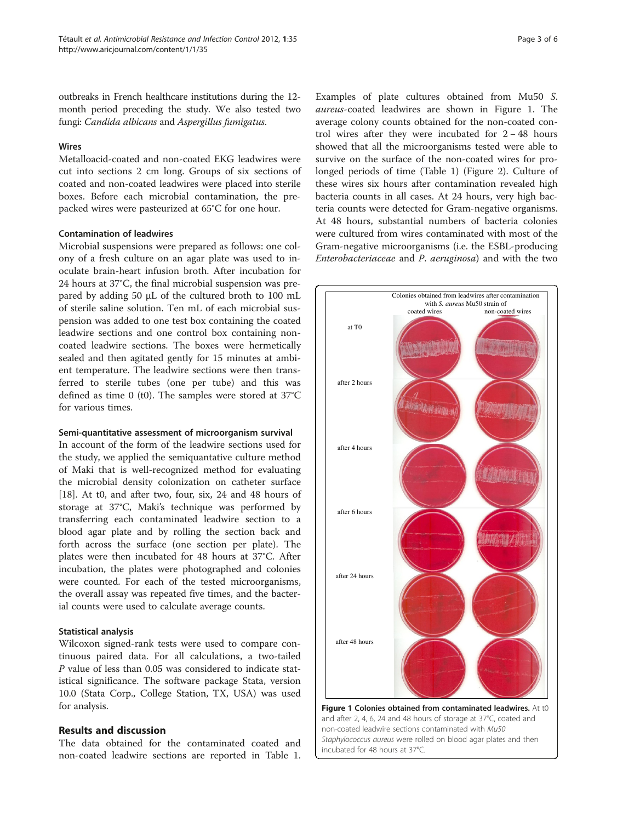outbreaks in French healthcare institutions during the 12 month period preceding the study. We also tested two fungi: Candida albicans and Aspergillus fumigatus.

## Wires

Metalloacid-coated and non-coated EKG leadwires were cut into sections 2 cm long. Groups of six sections of coated and non-coated leadwires were placed into sterile boxes. Before each microbial contamination, the prepacked wires were pasteurized at 65°C for one hour.

## Contamination of leadwires

Microbial suspensions were prepared as follows: one colony of a fresh culture on an agar plate was used to inoculate brain-heart infusion broth. After incubation for 24 hours at 37°C, the final microbial suspension was prepared by adding 50 μL of the cultured broth to 100 mL of sterile saline solution. Ten mL of each microbial suspension was added to one test box containing the coated leadwire sections and one control box containing noncoated leadwire sections. The boxes were hermetically sealed and then agitated gently for 15 minutes at ambient temperature. The leadwire sections were then transferred to sterile tubes (one per tube) and this was defined as time 0 (t0). The samples were stored at 37°C for various times.

## Semi-quantitative assessment of microorganism survival

In account of the form of the leadwire sections used for the study, we applied the semiquantative culture method of Maki that is well-recognized method for evaluating the microbial density colonization on catheter surface [[18\]](#page-5-0). At t0, and after two, four, six, 24 and 48 hours of storage at 37°C, Maki's technique was performed by transferring each contaminated leadwire section to a blood agar plate and by rolling the section back and forth across the surface (one section per plate). The plates were then incubated for 48 hours at 37°C. After incubation, the plates were photographed and colonies were counted. For each of the tested microorganisms, the overall assay was repeated five times, and the bacterial counts were used to calculate average counts.

## Statistical analysis

Wilcoxon signed-rank tests were used to compare continuous paired data. For all calculations, a two-tailed P value of less than 0.05 was considered to indicate statistical significance. The software package Stata, version 10.0 (Stata Corp., College Station, TX, USA) was used for analysis.

## Results and discussion

The data obtained for the contaminated coated and non-coated leadwire sections are reported in Table [1](#page-1-0). Examples of plate cultures obtained from Mu50 S. aureus-coated leadwires are shown in Figure 1. The average colony counts obtained for the non-coated control wires after they were incubated for 2 − 48 hours showed that all the microorganisms tested were able to survive on the surface of the non-coated wires for prolonged periods of time (Table [1](#page-1-0)) (Figure [2\)](#page-3-0). Culture of these wires six hours after contamination revealed high bacteria counts in all cases. At 24 hours, very high bacteria counts were detected for Gram-negative organisms. At 48 hours, substantial numbers of bacteria colonies were cultured from wires contaminated with most of the Gram-negative microorganisms (i.e. the ESBL-producing Enterobacteriaceae and P. aeruginosa) and with the two

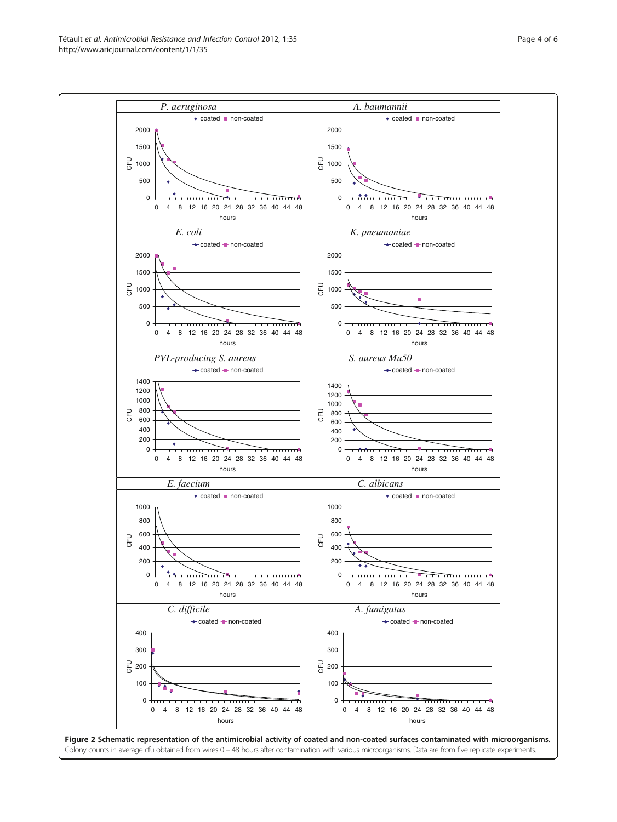<span id="page-3-0"></span>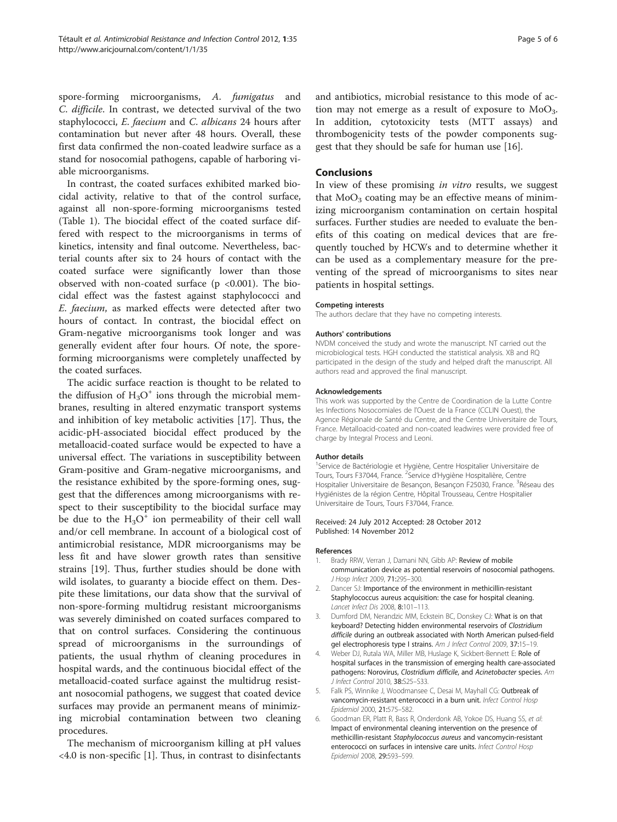<span id="page-4-0"></span>spore-forming microorganisms, A. fumigatus and C. difficile. In contrast, we detected survival of the two staphylococci, E. faecium and C. albicans 24 hours after contamination but never after 48 hours. Overall, these first data confirmed the non-coated leadwire surface as a stand for nosocomial pathogens, capable of harboring viable microorganisms.

In contrast, the coated surfaces exhibited marked biocidal activity, relative to that of the control surface, against all non-spore-forming microorganisms tested (Table [1](#page-1-0)). The biocidal effect of the coated surface differed with respect to the microorganisms in terms of kinetics, intensity and final outcome. Nevertheless, bacterial counts after six to 24 hours of contact with the coated surface were significantly lower than those observed with non-coated surface ( $p < 0.001$ ). The biocidal effect was the fastest against staphylococci and E. faecium, as marked effects were detected after two hours of contact. In contrast, the biocidal effect on Gram-negative microorganisms took longer and was generally evident after four hours. Of note, the sporeforming microorganisms were completely unaffected by the coated surfaces.

The acidic surface reaction is thought to be related to the diffusion of  $H_3O^+$  ions through the microbial membranes, resulting in altered enzymatic transport systems and inhibition of key metabolic activities [\[17](#page-5-0)]. Thus, the acidic-pH-associated biocidal effect produced by the metalloacid-coated surface would be expected to have a universal effect. The variations in susceptibility between Gram-positive and Gram-negative microorganisms, and the resistance exhibited by the spore-forming ones, suggest that the differences among microorganisms with respect to their susceptibility to the biocidal surface may be due to the  $H_3O^+$  ion permeability of their cell wall and/or cell membrane. In account of a biological cost of antimicrobial resistance, MDR microorganisms may be less fit and have slower growth rates than sensitive strains [[19\]](#page-5-0). Thus, further studies should be done with wild isolates, to guaranty a biocide effect on them. Despite these limitations, our data show that the survival of non-spore-forming multidrug resistant microorganisms was severely diminished on coated surfaces compared to that on control surfaces. Considering the continuous spread of microorganisms in the surroundings of patients, the usual rhythm of cleaning procedures in hospital wards, and the continuous biocidal effect of the metalloacid-coated surface against the multidrug resistant nosocomial pathogens, we suggest that coated device surfaces may provide an permanent means of minimizing microbial contamination between two cleaning procedures.

The mechanism of microorganism killing at pH values <4.0 is non-specific [1]. Thus, in contrast to disinfectants and antibiotics, microbial resistance to this mode of action may not emerge as a result of exposure to  $MoO<sub>3</sub>$ . In addition, cytotoxicity tests (MTT assays) and thrombogenicity tests of the powder components suggest that they should be safe for human use [[16\]](#page-5-0).

## Conclusions

In view of these promising in vitro results, we suggest that  $MoO<sub>3</sub>$  coating may be an effective means of minimizing microorganism contamination on certain hospital surfaces. Further studies are needed to evaluate the benefits of this coating on medical devices that are frequently touched by HCWs and to determine whether it can be used as a complementary measure for the preventing of the spread of microorganisms to sites near patients in hospital settings.

### Competing interests

The authors declare that they have no competing interests.

## Authors' contributions

NVDM conceived the study and wrote the manuscript. NT carried out the microbiological tests. HGH conducted the statistical analysis. XB and RQ participated in the design of the study and helped draft the manuscript. All authors read and approved the final manuscript.

### Acknowledgements

This work was supported by the Centre de Coordination de la Lutte Contre les Infections Nosocomiales de l'Ouest de la France (CCLIN Ouest), the Agence Régionale de Santé du Centre, and the Centre Universitaire de Tours, France. Metalloacid-coated and non-coated leadwires were provided free of charge by Integral Process and Leoni.

### Author details

<sup>1</sup>Service de Bactériologie et Hygiène, Centre Hospitalier Universitaire de Tours, Tours F37044, France. <sup>2</sup>Service d'Hygiène Hospitalière, Centre Hospitalier Universitaire de Besançon, Besançon F25030, France. <sup>3</sup>Réseau des Hygiénistes de la région Centre, Hôpital Trousseau, Centre Hospitalier Universitaire de Tours, Tours F37044, France.

## Received: 24 July 2012 Accepted: 28 October 2012 Published: 14 November 2012

## References

- 1. Brady RRW, Verran J, Damani NN, Gibb AP: Review of mobile communication device as potential reservoirs of nosocomial pathogens. J Hosp Infect 2009, 71:295–300.
- 2. Dancer SJ: Importance of the environment in methicillin-resistant Staphylococcus aureus acquisition: the case for hospital cleaning. Lancet Infect Dis 2008, 8:101–113.
- 3. Dumford DM, Nerandzic MM, Eckstein BC, Donskey CJ: What is on that keyboard? Detecting hidden environmental reservoirs of Clostridium difficile during an outbreak associated with North American pulsed-field gel electrophoresis type I strains. Am J Infect Control 2009, 37:15–19.
- 4. Weber DJ, Rutala WA, Miller MB, Huslage K, Sickbert-Bennett E: Role of hospital surfaces in the transmission of emerging health care-associated pathogens: Norovirus, Clostridium difficile, and Acinetobacter species. Am J Infect Control 2010, 38:S25–S33.
- 5. Falk PS, Winnike J, Woodmansee C, Desai M, Mayhall CG: Outbreak of vancomycin-resistant enterococci in a burn unit. Infect Control Hosp Epidemiol 2000, 21:575–582.
- 6. Goodman ER, Platt R, Bass R, Onderdonk AB, Yokoe DS, Huang SS, et al: Impact of environmental cleaning intervention on the presence of methicillin-resistant Staphylococcus aureus and vancomycin-resistant enterococci on surfaces in intensive care units. Infect Control Hosp Epidemiol 2008, 29:593–599.